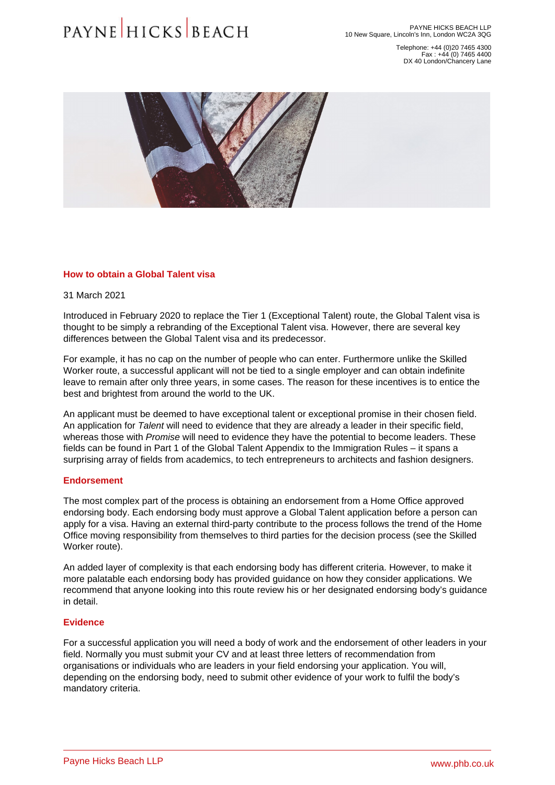Telephone: +44 (0)20 7465 4300 Fax : +44 (0) 7465 4400 DX 40 London/Chancery Lane

# How to obtain a Global Talent visa

31 March 2021

Introduced in February 2020 to replace the Tier 1 (Exceptional Talent) route, the Global Talent visa is thought to be simply a rebranding of the Exceptional Talent visa. However, there are several key differences between the Global Talent visa and its predecessor.

For example, it has no cap on the number of people who can enter. Furthermore unlike the Skilled Worker route, a successful applicant will not be tied to a single employer and can obtain indefinite leave to remain after only three years, in some cases. The reason for these incentives is to entice the best and brightest from around the world to the UK.

An applicant must be deemed to have exceptional talent or exceptional promise in their chosen field. An application for Talent will need to evidence that they are already a leader in their specific field, whereas those with Promise will need to evidence they have the potential to become leaders. These fields can be found in Part 1 of the Global Talent Appendix to the Immigration Rules – it spans a surprising array of fields from academics, to tech entrepreneurs to architects and fashion designers.

# **Endorsement**

The most complex part of the process is obtaining an endorsement from a Home Office approved [endorsing body](�� h t t p s : / / w w w . g o v . u k / g o v e r n m e n t / p u b l i c a t i o n s / g l o b a l - t a l e n t - e n d o r s i n g - b o d i e s). Each endorsing body must approve a Global Talent application before a person can apply for a visa. Having an external third-party contribute to the process follows the trend of the Home Office moving responsibility from themselves to third parties for the decision process (see the Skilled Worker route).

An added layer of complexity is that each endorsing body has different criteria. However, to make it more palatable each endorsing body has provided guidance on how they consider applications. We recommend that anyone looking into this route review his or her designated endorsing body's guidance in detail.

# **Evidence**

For a successful application you will need a body of work and the endorsement of other leaders in your field. Normally you must submit your CV and at least three letters of recommendation from organisations or individuals who are leaders in your field endorsing your application. You will, depending on the endorsing body, need to submit other evidence of your work to fulfil the body's mandatory criteria.